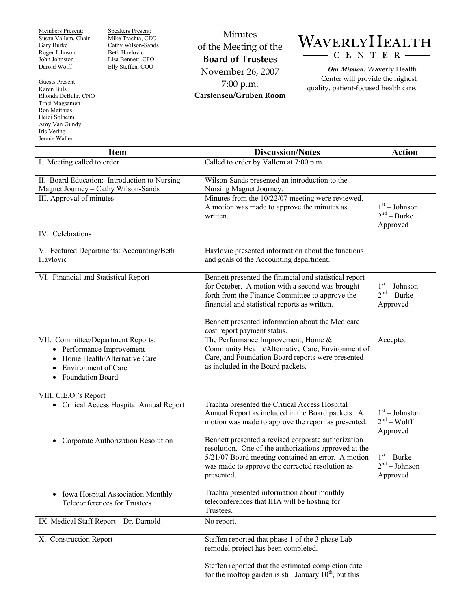Members Present: Susan Vallem, Chair Gary Burke Roger Johnson John Johnston Darold Wolff

Guests Present: Karen Buls Rhonda DeBuhr, CNO Traci Magsamen Ron Matthias Heidi Solheim Amy Van Gundy Iris Vering Jennie Waller

Speakers Present: Mike Trachta, CEO Cathy Wilson-Sands Beth Havlovic Lisa Bennett, CFO Elly Steffen, COO

Minutes of the Meeting of the **Board of Trustees**  November 26, 2007 7:00 p.m. **Carstensen/Gruben Room** 



*Our Mission:* Waverly Health Center will provide the highest quality, patient-focused health care.

| <b>Item</b>                                                                                                                                                                              | <b>Discussion/Notes</b>                                                                                                                                                                                                                                                                          | <b>Action</b>                                |
|------------------------------------------------------------------------------------------------------------------------------------------------------------------------------------------|--------------------------------------------------------------------------------------------------------------------------------------------------------------------------------------------------------------------------------------------------------------------------------------------------|----------------------------------------------|
| I. Meeting called to order                                                                                                                                                               | Called to order by Vallem at 7:00 p.m.                                                                                                                                                                                                                                                           |                                              |
| II. Board Education: Introduction to Nursing<br>Magnet Journey - Cathy Wilson-Sands                                                                                                      | Wilson-Sands presented an introduction to the<br>Nursing Magnet Journey.                                                                                                                                                                                                                         |                                              |
| III. Approval of minutes                                                                                                                                                                 | Minutes from the 10/22/07 meeting were reviewed.<br>A motion was made to approve the minutes as<br>written.                                                                                                                                                                                      | $1st - Johnson$<br>$2nd - Burke$<br>Approved |
| IV. Celebrations                                                                                                                                                                         |                                                                                                                                                                                                                                                                                                  |                                              |
| V. Featured Departments: Accounting/Beth<br>Havlovic                                                                                                                                     | Havlovic presented information about the functions<br>and goals of the Accounting department.                                                                                                                                                                                                    |                                              |
| VI. Financial and Statistical Report                                                                                                                                                     | Bennett presented the financial and statistical report<br>for October. A motion with a second was brought<br>forth from the Finance Committee to approve the<br>financial and statistical reports as written.<br>Bennett presented information about the Medicare<br>cost report payment status. | $1st - Johnson$<br>$2nd - Burke$<br>Approved |
| VII. Committee/Department Reports:<br>• Performance Improvement<br>Home Health/Alternative Care<br>$\bullet$<br><b>Environment</b> of Care<br>$\bullet$<br>Foundation Board<br>$\bullet$ | The Performance Improvement, Home &<br>Community Health/Alternative Care, Environment of<br>Care, and Foundation Board reports were presented<br>as included in the Board packets.                                                                                                               | Accepted                                     |
| VIII. C.E.O.'s Report<br>• Critical Access Hospital Annual Report                                                                                                                        | Trachta presented the Critical Access Hospital<br>Annual Report as included in the Board packets. A<br>motion was made to approve the report as presented.                                                                                                                                       | $1st - Johnston$<br>$2nd - Wolf$<br>Approved |
| Corporate Authorization Resolution<br>$\bullet$                                                                                                                                          | Bennett presented a revised corporate authorization<br>resolution. One of the authorizations approved at the<br>5/21/07 Board meeting contained an error. A motion<br>was made to approve the corrected resolution as<br>presented.                                                              | $1st - Burke$<br>$2nd - Johnson$<br>Approved |
| Iowa Hospital Association Monthly<br><b>Teleconferences for Trustees</b>                                                                                                                 | Trachta presented information about monthly<br>teleconferences that IHA will be hosting for<br>Trustees.                                                                                                                                                                                         |                                              |
| IX. Medical Staff Report - Dr. Darnold                                                                                                                                                   | No report.                                                                                                                                                                                                                                                                                       |                                              |
| X. Construction Report                                                                                                                                                                   | Steffen reported that phase 1 of the 3 phase Lab<br>remodel project has been completed.                                                                                                                                                                                                          |                                              |
|                                                                                                                                                                                          | Steffen reported that the estimated completion date<br>for the rooftop garden is still January $10^{th}$ , but this                                                                                                                                                                              |                                              |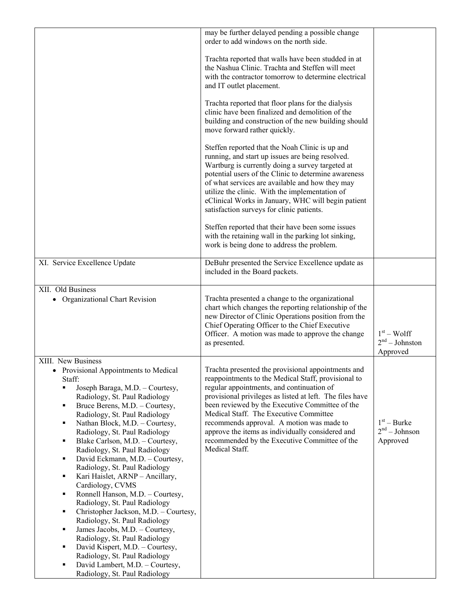|                                                                                                                                                                                                                                                                                                                                                                                                                                                                                                                                                                                                                                                                                                                                                                                                                                                                                            | may be further delayed pending a possible change<br>order to add windows on the north side.                                                                                                                                                                                                                                                                                                                                                                                         |                                              |
|--------------------------------------------------------------------------------------------------------------------------------------------------------------------------------------------------------------------------------------------------------------------------------------------------------------------------------------------------------------------------------------------------------------------------------------------------------------------------------------------------------------------------------------------------------------------------------------------------------------------------------------------------------------------------------------------------------------------------------------------------------------------------------------------------------------------------------------------------------------------------------------------|-------------------------------------------------------------------------------------------------------------------------------------------------------------------------------------------------------------------------------------------------------------------------------------------------------------------------------------------------------------------------------------------------------------------------------------------------------------------------------------|----------------------------------------------|
|                                                                                                                                                                                                                                                                                                                                                                                                                                                                                                                                                                                                                                                                                                                                                                                                                                                                                            | Trachta reported that walls have been studded in at<br>the Nashua Clinic. Trachta and Steffen will meet<br>with the contractor tomorrow to determine electrical<br>and IT outlet placement.                                                                                                                                                                                                                                                                                         |                                              |
|                                                                                                                                                                                                                                                                                                                                                                                                                                                                                                                                                                                                                                                                                                                                                                                                                                                                                            | Trachta reported that floor plans for the dialysis<br>clinic have been finalized and demolition of the<br>building and construction of the new building should<br>move forward rather quickly.                                                                                                                                                                                                                                                                                      |                                              |
|                                                                                                                                                                                                                                                                                                                                                                                                                                                                                                                                                                                                                                                                                                                                                                                                                                                                                            | Steffen reported that the Noah Clinic is up and<br>running, and start up issues are being resolved.<br>Wartburg is currently doing a survey targeted at<br>potential users of the Clinic to determine awareness<br>of what services are available and how they may<br>utilize the clinic. With the implementation of<br>eClinical Works in January, WHC will begin patient<br>satisfaction surveys for clinic patients.                                                             |                                              |
|                                                                                                                                                                                                                                                                                                                                                                                                                                                                                                                                                                                                                                                                                                                                                                                                                                                                                            | Steffen reported that their have been some issues<br>with the retaining wall in the parking lot sinking,<br>work is being done to address the problem.                                                                                                                                                                                                                                                                                                                              |                                              |
| XI. Service Excellence Update                                                                                                                                                                                                                                                                                                                                                                                                                                                                                                                                                                                                                                                                                                                                                                                                                                                              | DeBuhr presented the Service Excellence update as<br>included in the Board packets.                                                                                                                                                                                                                                                                                                                                                                                                 |                                              |
| XII. Old Business<br>• Organizational Chart Revision                                                                                                                                                                                                                                                                                                                                                                                                                                                                                                                                                                                                                                                                                                                                                                                                                                       | Trachta presented a change to the organizational<br>chart which changes the reporting relationship of the<br>new Director of Clinic Operations position from the<br>Chief Operating Officer to the Chief Executive<br>Officer. A motion was made to approve the change<br>as presented.                                                                                                                                                                                             | $1st - Wolf$<br>$2nd - Johnston$<br>Approved |
| XIII. New Business<br>• Provisional Appointments to Medical<br>Staff:<br>Joseph Baraga, M.D. - Courtesy,<br>Radiology, St. Paul Radiology<br>Bruce Berens, M.D. - Courtesy,<br>٠<br>Radiology, St. Paul Radiology<br>Nathan Block, M.D. - Courtesy,<br>٠<br>Radiology, St. Paul Radiology<br>Blake Carlson, M.D. - Courtesy,<br>٠<br>Radiology, St. Paul Radiology<br>David Eckmann, M.D. - Courtesy,<br>٠<br>Radiology, St. Paul Radiology<br>Kari Haislet, ARNP - Ancillary,<br>٠<br>Cardiology, CVMS<br>Ronnell Hanson, M.D. - Courtesy,<br>٠<br>Radiology, St. Paul Radiology<br>Christopher Jackson, M.D. - Courtesy,<br>٠<br>Radiology, St. Paul Radiology<br>James Jacobs, M.D. - Courtesy,<br>٠<br>Radiology, St. Paul Radiology<br>David Kispert, M.D. - Courtesy,<br>٠<br>Radiology, St. Paul Radiology<br>David Lambert, M.D. - Courtesy,<br>٠<br>Radiology, St. Paul Radiology | Trachta presented the provisional appointments and<br>reappointments to the Medical Staff, provisional to<br>regular appointments, and continuation of<br>provisional privileges as listed at left. The files have<br>been reviewed by the Executive Committee of the<br>Medical Staff. The Executive Committee<br>recommends approval. A motion was made to<br>approve the items as individually considered and<br>recommended by the Executive Committee of the<br>Medical Staff. | $1st - Burke$<br>$2nd - Johnson$<br>Approved |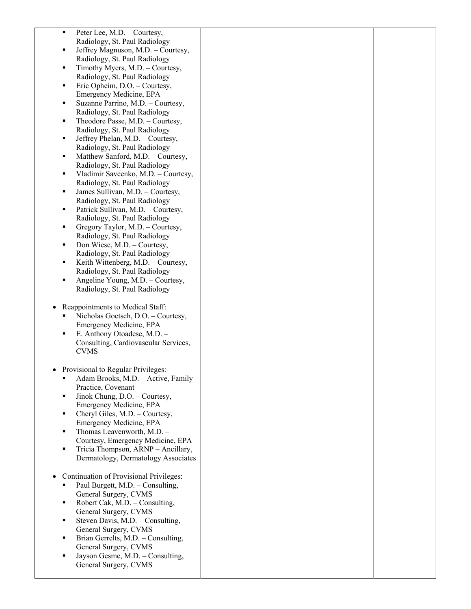| п              | Peter Lee, M.D. – Courtesy,                                         |  |
|----------------|---------------------------------------------------------------------|--|
|                | Radiology, St. Paul Radiology                                       |  |
| ٠              | Jeffrey Magnuson, M.D. - Courtesy,                                  |  |
|                | Radiology, St. Paul Radiology                                       |  |
| ٠              | Timothy Myers, M.D. - Courtesy,                                     |  |
|                | Radiology, St. Paul Radiology                                       |  |
| ٠              | Eric Opheim, D.O. - Courtesy,                                       |  |
|                | Emergency Medicine, EPA                                             |  |
| п              | Suzanne Parrino, M.D. - Courtesy,                                   |  |
|                | Radiology, St. Paul Radiology                                       |  |
| ٠              | Theodore Passe, M.D. - Courtesy,                                    |  |
|                | Radiology, St. Paul Radiology                                       |  |
| ٠              | Jeffrey Phelan, M.D. - Courtesy,                                    |  |
| $\blacksquare$ | Radiology, St. Paul Radiology<br>Matthew Sanford, M.D. - Courtesy,  |  |
|                | Radiology, St. Paul Radiology                                       |  |
| ٠              | Vladimir Savcenko, M.D. - Courtesy,                                 |  |
|                | Radiology, St. Paul Radiology                                       |  |
| П              | James Sullivan, M.D. - Courtesy,                                    |  |
|                | Radiology, St. Paul Radiology                                       |  |
| ٠              | Patrick Sullivan, M.D. - Courtesy,                                  |  |
|                | Radiology, St. Paul Radiology                                       |  |
| ٠              | Gregory Taylor, M.D. - Courtesy,                                    |  |
|                | Radiology, St. Paul Radiology                                       |  |
| ٠              | Don Wiese, M.D. - Courtesy,                                         |  |
|                | Radiology, St. Paul Radiology                                       |  |
| ٠              | Keith Wittenberg, M.D. - Courtesy,                                  |  |
|                | Radiology, St. Paul Radiology                                       |  |
| П              | Angeline Young, M.D. - Courtesy,                                    |  |
|                | Radiology, St. Paul Radiology                                       |  |
|                |                                                                     |  |
| $\bullet$      | Reappointments to Medical Staff:                                    |  |
| ٠              | Nicholas Goetsch, D.O. - Courtesy,                                  |  |
| п              | Emergency Medicine, EPA                                             |  |
|                | E. Anthony Otoadese, M.D. -<br>Consulting, Cardiovascular Services, |  |
|                | <b>CVMS</b>                                                         |  |
|                |                                                                     |  |
|                | Provisional to Regular Privileges:                                  |  |
| ٠              | Adam Brooks, M.D. - Active, Family                                  |  |
|                | Practice, Covenant                                                  |  |
| ٠              | Jinok Chung, D.O. - Courtesy,                                       |  |
|                | Emergency Medicine, EPA                                             |  |
| ٠              | Cheryl Giles, M.D. - Courtesy,                                      |  |
|                | Emergency Medicine, EPA                                             |  |
| ٠              | Thomas Leavenworth, M.D. -                                          |  |
|                | Courtesy, Emergency Medicine, EPA                                   |  |
| $\blacksquare$ | Tricia Thompson, ARNP - Ancillary,                                  |  |
|                | Dermatology, Dermatology Associates                                 |  |
|                |                                                                     |  |
|                | Continuation of Provisional Privileges:                             |  |
|                | Paul Burgett, M.D. - Consulting,<br>General Surgery, CVMS           |  |
| ٠              | Robert Cak, M.D. - Consulting,                                      |  |
|                | General Surgery, CVMS                                               |  |
| ٠              | Steven Davis, M.D. - Consulting,                                    |  |
|                | General Surgery, CVMS                                               |  |
| Ξ              | Brian Gerrelts, M.D. - Consulting,                                  |  |
|                | General Surgery, CVMS                                               |  |
| $\blacksquare$ | Jayson Gesme, M.D. - Consulting,                                    |  |
|                | General Surgery, CVMS                                               |  |
|                |                                                                     |  |